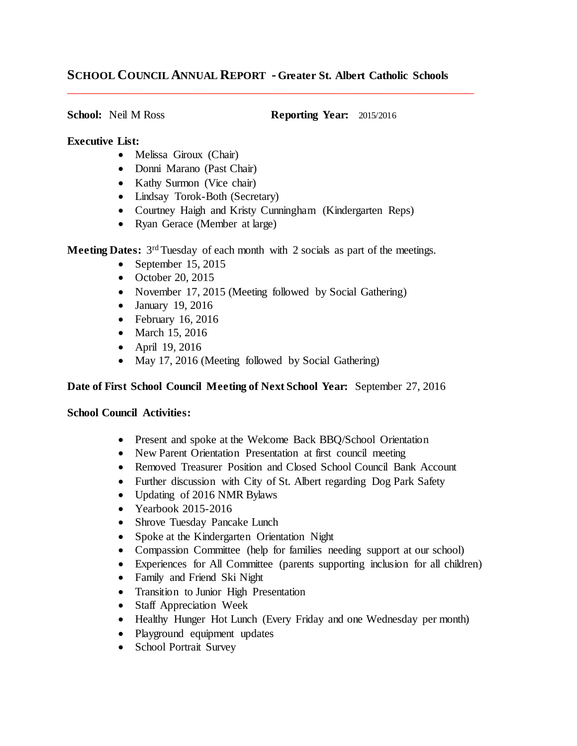# **SCHOOL COUNCIL ANNUAL REPORT - Greater St. Albert Catholic Schools**

\_\_\_\_\_\_\_\_\_\_\_\_\_\_\_\_\_\_\_\_\_\_\_\_\_\_\_\_\_\_\_\_\_\_\_\_\_\_\_\_\_\_\_\_\_\_\_\_\_\_\_\_\_\_\_\_\_\_\_\_\_\_\_\_\_\_\_\_\_\_\_\_

**School:** Neil M Ross **Reporting Year:** 2015/2016

#### **Executive List:**

- Melissa Giroux (Chair)
- Donni Marano (Past Chair)
- Kathy Surmon (Vice chair)
- Lindsay Torok-Both (Secretary)
- Courtney Haigh and Kristy Cunningham (Kindergarten Reps)
- Ryan Gerace (Member at large)

**Meeting Dates:** 3<sup>rd</sup> Tuesday of each month with 2 socials as part of the meetings.

- $\bullet$  September 15, 2015
- $\bullet$  October 20, 2015
- November 17, 2015 (Meeting followed by Social Gathering)
- January 19, 2016
- $\bullet$  February 16, 2016
- March 15, 2016
- April 19, 2016
- May 17, 2016 (Meeting followed by Social Gathering)

## **Date of First School Council Meeting of Next School Year:** September 27, 2016

### **School Council Activities:**

- Present and spoke at the Welcome Back BBQ/School Orientation
- New Parent Orientation Presentation at first council meeting
- Removed Treasurer Position and Closed School Council Bank Account
- Further discussion with City of St. Albert regarding Dog Park Safety
- Updating of 2016 NMR Bylaws
- Yearbook 2015-2016
- Shrove Tuesday Pancake Lunch
- Spoke at the Kindergarten Orientation Night
- Compassion Committee (help for families needing support at our school)
- Experiences for All Committee (parents supporting inclusion for all children)
- Family and Friend Ski Night
- Transition to Junior High Presentation
- Staff Appreciation Week
- Healthy Hunger Hot Lunch (Every Friday and one Wednesday per month)
- Playground equipment updates
- School Portrait Survey